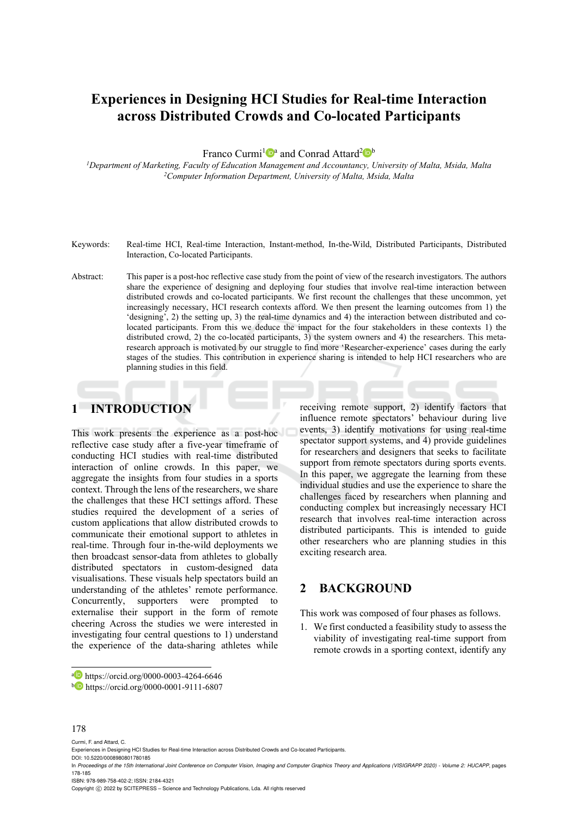# **Experiences in Designing HCI Studies for Real-time Interaction across Distributed Crowds and Co-located Participants**

Franco Curmi<sup>1</sup><sup>a</sup> and Conrad Attard<sup>2</sup><sup>b</sup>

*1Department of Marketing, Faculty of Education Management and Accountancy, University of Malta, Msida, Malta 2Computer Information Department, University of Malta, Msida, Malta* 

- Keywords: Real-time HCI, Real-time Interaction, Instant-method, In-the-Wild, Distributed Participants, Distributed Interaction, Co-located Participants.
- Abstract: This paper is a post-hoc reflective case study from the point of view of the research investigators. The authors share the experience of designing and deploying four studies that involve real-time interaction between distributed crowds and co-located participants. We first recount the challenges that these uncommon, yet increasingly necessary, HCI research contexts afford. We then present the learning outcomes from 1) the 'designing', 2) the setting up, 3) the real-time dynamics and 4) the interaction between distributed and colocated participants. From this we deduce the impact for the four stakeholders in these contexts 1) the distributed crowd, 2) the co-located participants, 3) the system owners and 4) the researchers. This metaresearch approach is motivated by our struggle to find more 'Researcher-experience' cases during the early stages of the studies. This contribution in experience sharing is intended to help HCI researchers who are planning studies in this field.

# **1 INTRODUCTION**

This work presents the experience as a post-hoc reflective case study after a five-year timeframe of conducting HCI studies with real-time distributed interaction of online crowds. In this paper, we aggregate the insights from four studies in a sports context. Through the lens of the researchers, we share the challenges that these HCI settings afford. These studies required the development of a series of custom applications that allow distributed crowds to communicate their emotional support to athletes in real-time. Through four in-the-wild deployments we then broadcast sensor-data from athletes to globally distributed spectators in custom-designed data visualisations. These visuals help spectators build an understanding of the athletes' remote performance. Concurrently, supporters were prompted to externalise their support in the form of remote cheering Across the studies we were interested in investigating four central questions to 1) understand the experience of the data-sharing athletes while

receiving remote support, 2) identify factors that influence remote spectators' behaviour during live events, 3) identify motivations for using real-time spectator support systems, and 4) provide guidelines for researchers and designers that seeks to facilitate support from remote spectators during sports events. In this paper, we aggregate the learning from these individual studies and use the experience to share the challenges faced by researchers when planning and conducting complex but increasingly necessary HCI research that involves real-time interaction across distributed participants. This is intended to guide other researchers who are planning studies in this exciting research area.

## **2 BACKGROUND**

This work was composed of four phases as follows.

1. We first conducted a feasibility study to assess the viability of investigating real-time support from remote crowds in a sporting context, identify any

#### 178

Curmi, F. and Attard, C.

Experiences in Designing HCI Studies for Real-time Interaction across Distributed Crowds and Co-located Participants. DOI: 10.5220/0008980801780185

In *Proceedings of the 15th International Joint Conference on Computer Vision, Imaging and Computer Graphics Theory and Applications (VISIGRAPP 2020) - Volume 2: HUCAPP*, pages 178-185

ISBN: 978-989-758-402-2; ISSN: 2184-4321

Copyright © 2022 by SCITEPRESS - Science and Technology Publications, Lda. All rights reserved

a https://orcid.org/0000-0003-4264-6646<br>b https://orcid.org/0000-0001-9111-6807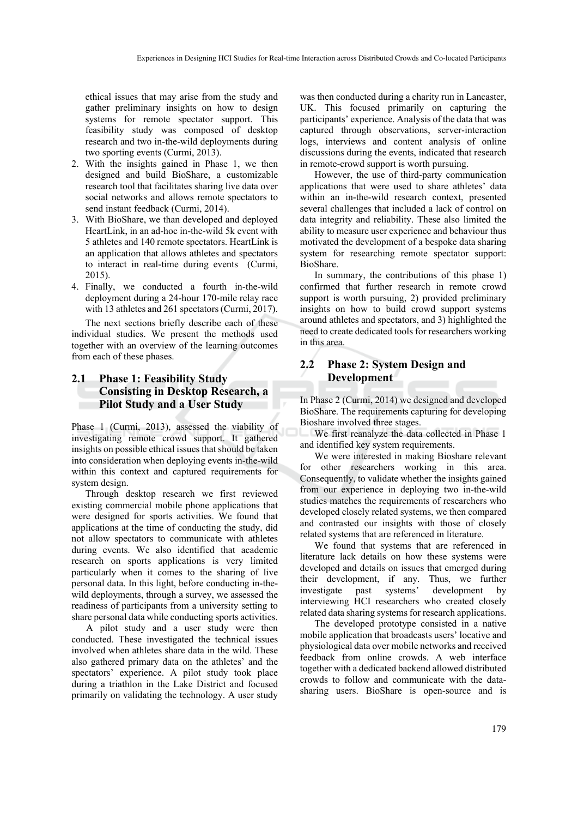ethical issues that may arise from the study and gather preliminary insights on how to design systems for remote spectator support. This feasibility study was composed of desktop research and two in-the-wild deployments during two sporting events (Curmi, 2013).

- 2. With the insights gained in Phase 1, we then designed and build BioShare, a customizable research tool that facilitates sharing live data over social networks and allows remote spectators to send instant feedback (Curmi, 2014).
- 3. With BioShare, we than developed and deployed HeartLink, in an ad-hoc in-the-wild 5k event with 5 athletes and 140 remote spectators. HeartLink is an application that allows athletes and spectators to interact in real-time during events (Curmi, 2015).
- 4. Finally, we conducted a fourth in-the-wild deployment during a 24-hour 170-mile relay race with 13 athletes and 261 spectators (Curmi, 2017).

The next sections briefly describe each of these individual studies. We present the methods used together with an overview of the learning outcomes from each of these phases.

### **2.1 Phase 1: Feasibility Study Consisting in Desktop Research, a Pilot Study and a User Study**

Phase 1 (Curmi, 2013), assessed the viability of investigating remote crowd support. It gathered insights on possible ethical issues that should be taken into consideration when deploying events in-the-wild within this context and captured requirements for system design.

Through desktop research we first reviewed existing commercial mobile phone applications that were designed for sports activities. We found that applications at the time of conducting the study, did not allow spectators to communicate with athletes during events. We also identified that academic research on sports applications is very limited particularly when it comes to the sharing of live personal data. In this light, before conducting in-thewild deployments, through a survey, we assessed the readiness of participants from a university setting to share personal data while conducting sports activities.

A pilot study and a user study were then conducted. These investigated the technical issues involved when athletes share data in the wild. These also gathered primary data on the athletes' and the spectators' experience. A pilot study took place during a triathlon in the Lake District and focused primarily on validating the technology. A user study

was then conducted during a charity run in Lancaster, UK. This focused primarily on capturing the participants' experience. Analysis of the data that was captured through observations, server-interaction logs, interviews and content analysis of online discussions during the events, indicated that research in remote-crowd support is worth pursuing.

However, the use of third-party communication applications that were used to share athletes' data within an in-the-wild research context, presented several challenges that included a lack of control on data integrity and reliability. These also limited the ability to measure user experience and behaviour thus motivated the development of a bespoke data sharing system for researching remote spectator support: BioShare.

In summary, the contributions of this phase 1) confirmed that further research in remote crowd support is worth pursuing, 2) provided preliminary insights on how to build crowd support systems around athletes and spectators, and 3) highlighted the need to create dedicated tools for researchers working in this area.

### **2.2 Phase 2: System Design and Development**

In Phase 2 (Curmi, 2014) we designed and developed BioShare. The requirements capturing for developing Bioshare involved three stages.

We first reanalyze the data collected in Phase 1 and identified key system requirements.

We were interested in making Bioshare relevant for other researchers working in this area. Consequently, to validate whether the insights gained from our experience in deploying two in-the-wild studies matches the requirements of researchers who developed closely related systems, we then compared and contrasted our insights with those of closely related systems that are referenced in literature.

We found that systems that are referenced in literature lack details on how these systems were developed and details on issues that emerged during their development, if any. Thus, we further investigate past systems' development by interviewing HCI researchers who created closely related data sharing systems for research applications.

The developed prototype consisted in a native mobile application that broadcasts users' locative and physiological data over mobile networks and received feedback from online crowds. A web interface together with a dedicated backend allowed distributed crowds to follow and communicate with the datasharing users. BioShare is open-source and is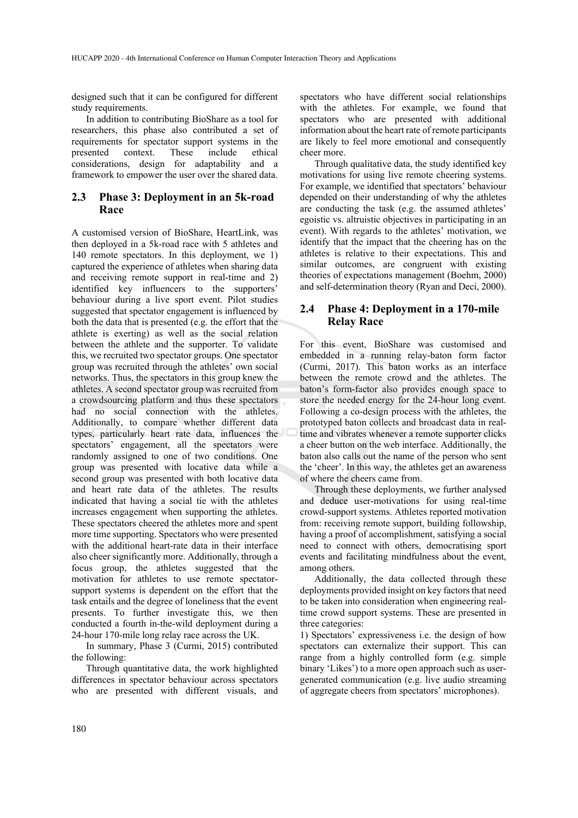designed such that it can be configured for different study requirements.

In addition to contributing BioShare as a tool for researchers, this phase also contributed a set of requirements for spectator support systems in the presented context. These include ethical considerations, design for adaptability and a framework to empower the user over the shared data.

### **2.3 Phase 3: Deployment in an 5k-road Race**

A customised version of BioShare, HeartLink, was then deployed in a 5k-road race with 5 athletes and 140 remote spectators. In this deployment, we 1) captured the experience of athletes when sharing data and receiving remote support in real-time and 2) identified key influencers to the supporters' behaviour during a live sport event. Pilot studies suggested that spectator engagement is influenced by both the data that is presented (e.g. the effort that the athlete is exerting) as well as the social relation between the athlete and the supporter. To validate this, we recruited two spectator groups. One spectator group was recruited through the athletes' own social networks. Thus, the spectators in this group knew the athletes. A second spectator group was recruited from a crowdsourcing platform and thus these spectators had no social connection with the athletes. Additionally, to compare whether different data types, particularly heart rate data, influences the spectators' engagement, all the spectators were randomly assigned to one of two conditions. One group was presented with locative data while a second group was presented with both locative data and heart rate data of the athletes. The results indicated that having a social tie with the athletes increases engagement when supporting the athletes. These spectators cheered the athletes more and spent more time supporting. Spectators who were presented with the additional heart-rate data in their interface also cheer significantly more. Additionally, through a focus group, the athletes suggested that the motivation for athletes to use remote spectatorsupport systems is dependent on the effort that the task entails and the degree of loneliness that the event presents. To further investigate this, we then conducted a fourth in-the-wild deployment during a 24-hour 170-mile long relay race across the UK.

In summary, Phase 3 (Curmi, 2015) contributed the following:

Through quantitative data, the work highlighted differences in spectator behaviour across spectators who are presented with different visuals, and

spectators who have different social relationships with the athletes. For example, we found that spectators who are presented with additional information about the heart rate of remote participants are likely to feel more emotional and consequently cheer more.

Through qualitative data, the study identified key motivations for using live remote cheering systems. For example, we identified that spectators' behaviour depended on their understanding of why the athletes are conducting the task (e.g. the assumed athletes' egoistic vs. altruistic objectives in participating in an event). With regards to the athletes' motivation, we identify that the impact that the cheering has on the athletes is relative to their expectations. This and similar outcomes, are congruent with existing theories of expectations management (Boehm, 2000) and self-determination theory (Ryan and Deci, 2000).

### **2.4 Phase 4: Deployment in a 170-mile Relay Race**

For this event, BioShare was customised and embedded in a running relay-baton form factor (Curmi, 2017). This baton works as an interface between the remote crowd and the athletes. The baton's form-factor also provides enough space to store the needed energy for the 24-hour long event. Following a co-design process with the athletes, the prototyped baton collects and broadcast data in realtime and vibrates whenever a remote supporter clicks a cheer button on the web interface. Additionally, the baton also calls out the name of the person who sent the 'cheer'. In this way, the athletes get an awareness of where the cheers came from.

Through these deployments, we further analysed and deduce user-motivations for using real-time crowd-support systems. Athletes reported motivation from: receiving remote support, building followship, having a proof of accomplishment, satisfying a social need to connect with others, democratising sport events and facilitating mindfulness about the event, among others.

Additionally, the data collected through these deployments provided insight on key factors that need to be taken into consideration when engineering realtime crowd support systems. These are presented in three categories:

1) Spectators' expressiveness i.e. the design of how spectators can externalize their support. This can range from a highly controlled form (e.g. simple binary 'Likes') to a more open approach such as usergenerated communication (e.g. live audio streaming of aggregate cheers from spectators' microphones).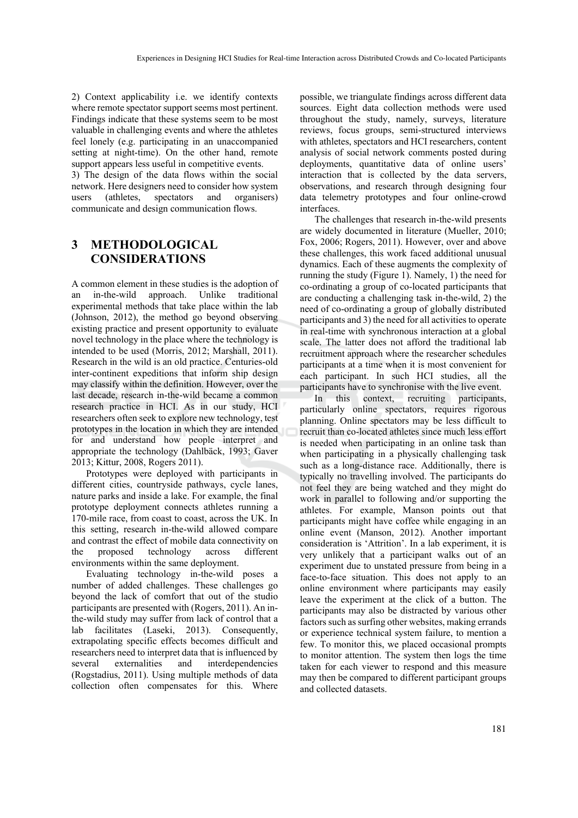2) Context applicability i.e. we identify contexts where remote spectator support seems most pertinent. Findings indicate that these systems seem to be most valuable in challenging events and where the athletes feel lonely (e.g. participating in an unaccompanied setting at night-time). On the other hand, remote support appears less useful in competitive events.

3) The design of the data flows within the social network. Here designers need to consider how system users (athletes, spectators and organisers) communicate and design communication flows.

# **3 METHODOLOGICAL CONSIDERATIONS**

A common element in these studies is the adoption of an in-the-wild approach. Unlike traditional experimental methods that take place within the lab (Johnson, 2012), the method go beyond observing existing practice and present opportunity to evaluate novel technology in the place where the technology is intended to be used (Morris, 2012; Marshall, 2011). Research in the wild is an old practice. Centuries-old inter-continent expeditions that inform ship design may classify within the definition. However, over the last decade, research in-the-wild became a common research practice in HCI. As in our study, HCI researchers often seek to explore new technology, test prototypes in the location in which they are intended for and understand how people interpret and appropriate the technology (Dahlbäck, 1993; Gaver 2013; Kittur, 2008, Rogers 2011).

Prototypes were deployed with participants in different cities, countryside pathways, cycle lanes, nature parks and inside a lake. For example, the final prototype deployment connects athletes running a 170-mile race, from coast to coast, across the UK. In this setting, research in-the-wild allowed compare and contrast the effect of mobile data connectivity on the proposed technology across different environments within the same deployment.

Evaluating technology in-the-wild poses a number of added challenges. These challenges go beyond the lack of comfort that out of the studio participants are presented with (Rogers, 2011). An inthe-wild study may suffer from lack of control that a lab facilitates (Laseki, 2013). Consequently, extrapolating specific effects becomes difficult and researchers need to interpret data that is influenced by several externalities and interdependencies (Rogstadius, 2011). Using multiple methods of data collection often compensates for this. Where

possible, we triangulate findings across different data sources. Eight data collection methods were used throughout the study, namely, surveys, literature reviews, focus groups, semi-structured interviews with athletes, spectators and HCI researchers, content analysis of social network comments posted during deployments, quantitative data of online users' interaction that is collected by the data servers, observations, and research through designing four data telemetry prototypes and four online-crowd interfaces.

The challenges that research in-the-wild presents are widely documented in literature (Mueller, 2010; Fox, 2006; Rogers, 2011). However, over and above these challenges, this work faced additional unusual dynamics. Each of these augments the complexity of running the study (Figure 1). Namely, 1) the need for co-ordinating a group of co-located participants that are conducting a challenging task in-the-wild, 2) the need of co-ordinating a group of globally distributed participants and 3) the need for all activities to operate in real-time with synchronous interaction at a global scale. The latter does not afford the traditional lab recruitment approach where the researcher schedules participants at a time when it is most convenient for each participant. In such HCI studies, all the participants have to synchronise with the live event.

In this context, recruiting participants, particularly online spectators, requires rigorous planning. Online spectators may be less difficult to recruit than co-located athletes since much less effort is needed when participating in an online task than when participating in a physically challenging task such as a long-distance race. Additionally, there is typically no travelling involved. The participants do not feel they are being watched and they might do work in parallel to following and/or supporting the athletes. For example, Manson points out that participants might have coffee while engaging in an online event (Manson, 2012). Another important consideration is 'Attrition'. In a lab experiment, it is very unlikely that a participant walks out of an experiment due to unstated pressure from being in a face-to-face situation. This does not apply to an online environment where participants may easily leave the experiment at the click of a button. The participants may also be distracted by various other factors such as surfing other websites, making errands or experience technical system failure, to mention a few. To monitor this, we placed occasional prompts to monitor attention. The system then logs the time taken for each viewer to respond and this measure may then be compared to different participant groups and collected datasets.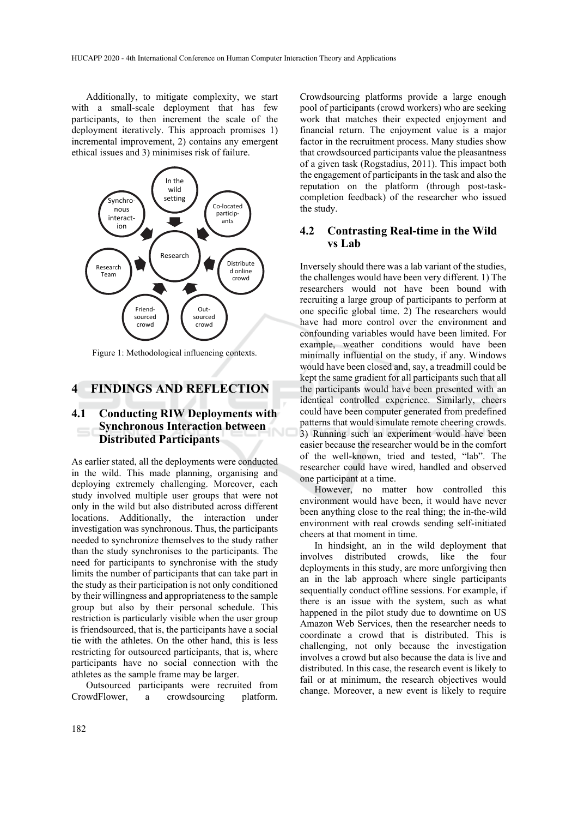Additionally, to mitigate complexity, we start with a small-scale deployment that has few participants, to then increment the scale of the deployment iteratively. This approach promises 1) incremental improvement, 2) contains any emergent ethical issues and 3) minimises risk of failure.



Figure 1: Methodological influencing contexts.

## **4 FINDINGS AND REFLECTION**

### **4.1 Conducting RIW Deployments with Synchronous Interaction between Distributed Participants**

As earlier stated, all the deployments were conducted in the wild. This made planning, organising and deploying extremely challenging. Moreover, each study involved multiple user groups that were not only in the wild but also distributed across different locations. Additionally, the interaction under investigation was synchronous. Thus, the participants needed to synchronize themselves to the study rather than the study synchronises to the participants. The need for participants to synchronise with the study limits the number of participants that can take part in the study as their participation is not only conditioned by their willingness and appropriateness to the sample group but also by their personal schedule. This restriction is particularly visible when the user group is friendsourced, that is, the participants have a social tie with the athletes. On the other hand, this is less restricting for outsourced participants, that is, where participants have no social connection with the athletes as the sample frame may be larger.

Outsourced participants were recruited from CrowdFlower, a crowdsourcing platform.

Crowdsourcing platforms provide a large enough pool of participants (crowd workers) who are seeking work that matches their expected enjoyment and financial return. The enjoyment value is a major factor in the recruitment process. Many studies show that crowdsourced participants value the pleasantness of a given task (Rogstadius, 2011). This impact both the engagement of participants in the task and also the reputation on the platform (through post-taskcompletion feedback) of the researcher who issued the study.

#### **4.2 Contrasting Real-time in the Wild vs Lab**

Inversely should there was a lab variant of the studies, the challenges would have been very different. 1) The researchers would not have been bound with recruiting a large group of participants to perform at one specific global time. 2) The researchers would have had more control over the environment and confounding variables would have been limited. For example, weather conditions would have been minimally influential on the study, if any. Windows would have been closed and, say, a treadmill could be kept the same gradient for all participants such that all the participants would have been presented with an identical controlled experience. Similarly, cheers could have been computer generated from predefined patterns that would simulate remote cheering crowds. 3) Running such an experiment would have been easier because the researcher would be in the comfort of the well-known, tried and tested, "lab". The researcher could have wired, handled and observed one participant at a time.

However, no matter how controlled this environment would have been, it would have never been anything close to the real thing; the in-the-wild environment with real crowds sending self-initiated cheers at that moment in time.

In hindsight, an in the wild deployment that involves distributed crowds, like the four deployments in this study, are more unforgiving then an in the lab approach where single participants sequentially conduct offline sessions. For example, if there is an issue with the system, such as what happened in the pilot study due to downtime on US Amazon Web Services, then the researcher needs to coordinate a crowd that is distributed. This is challenging, not only because the investigation involves a crowd but also because the data is live and distributed. In this case, the research event is likely to fail or at minimum, the research objectives would change. Moreover, a new event is likely to require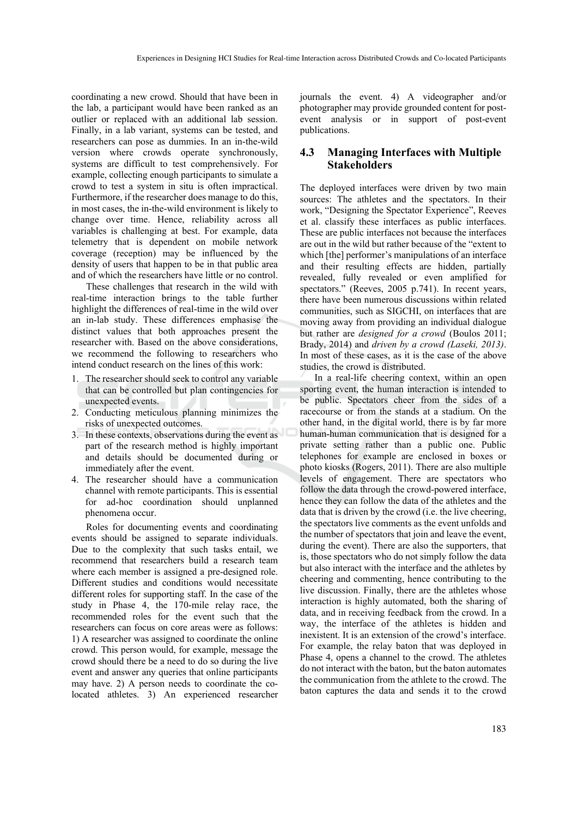coordinating a new crowd. Should that have been in the lab, a participant would have been ranked as an outlier or replaced with an additional lab session. Finally, in a lab variant, systems can be tested, and researchers can pose as dummies. In an in-the-wild version where crowds operate synchronously, systems are difficult to test comprehensively. For example, collecting enough participants to simulate a crowd to test a system in situ is often impractical. Furthermore, if the researcher does manage to do this, in most cases, the in-the-wild environment is likely to change over time. Hence, reliability across all variables is challenging at best. For example, data telemetry that is dependent on mobile network coverage (reception) may be influenced by the density of users that happen to be in that public area and of which the researchers have little or no control.

These challenges that research in the wild with real-time interaction brings to the table further highlight the differences of real-time in the wild over an in-lab study. These differences emphasise the distinct values that both approaches present the researcher with. Based on the above considerations, we recommend the following to researchers who intend conduct research on the lines of this work:

- 1. The researcher should seek to control any variable that can be controlled but plan contingencies for unexpected events.
- 2. Conducting meticulous planning minimizes the risks of unexpected outcomes.
- 3. In these contexts, observations during the event as part of the research method is highly important and details should be documented during or immediately after the event.
- 4. The researcher should have a communication channel with remote participants. This is essential for ad-hoc coordination should unplanned phenomena occur.

Roles for documenting events and coordinating events should be assigned to separate individuals. Due to the complexity that such tasks entail, we recommend that researchers build a research team where each member is assigned a pre-designed role. Different studies and conditions would necessitate different roles for supporting staff. In the case of the study in Phase 4, the 170-mile relay race, the recommended roles for the event such that the researchers can focus on core areas were as follows: 1) A researcher was assigned to coordinate the online crowd. This person would, for example, message the crowd should there be a need to do so during the live event and answer any queries that online participants may have. 2) A person needs to coordinate the colocated athletes. 3) An experienced researcher journals the event. 4) A videographer and/or photographer may provide grounded content for postevent analysis or in support of post-event publications.

#### **4.3 Managing Interfaces with Multiple Stakeholders**

The deployed interfaces were driven by two main sources: The athletes and the spectators. In their work, "Designing the Spectator Experience", Reeves et al. classify these interfaces as public interfaces. These are public interfaces not because the interfaces are out in the wild but rather because of the "extent to which [the] performer's manipulations of an interface and their resulting effects are hidden, partially revealed, fully revealed or even amplified for spectators." (Reeves, 2005 p.741). In recent years, there have been numerous discussions within related communities, such as SIGCHI, on interfaces that are moving away from providing an individual dialogue but rather are *designed for a crowd* (Boulos 2011; Brady, 2014) and *driven by a crowd (Laseki, 2013)*. In most of these cases, as it is the case of the above studies, the crowd is distributed.

In a real-life cheering context, within an open sporting event, the human interaction is intended to be public. Spectators cheer from the sides of a racecourse or from the stands at a stadium. On the other hand, in the digital world, there is by far more human-human communication that is designed for a private setting rather than a public one. Public telephones for example are enclosed in boxes or photo kiosks (Rogers, 2011). There are also multiple levels of engagement. There are spectators who follow the data through the crowd-powered interface, hence they can follow the data of the athletes and the data that is driven by the crowd (i.e. the live cheering, the spectators live comments as the event unfolds and the number of spectators that join and leave the event, during the event). There are also the supporters, that is, those spectators who do not simply follow the data but also interact with the interface and the athletes by cheering and commenting, hence contributing to the live discussion. Finally, there are the athletes whose interaction is highly automated, both the sharing of data, and in receiving feedback from the crowd. In a way, the interface of the athletes is hidden and inexistent. It is an extension of the crowd's interface. For example, the relay baton that was deployed in Phase 4, opens a channel to the crowd. The athletes do not interact with the baton, but the baton automates the communication from the athlete to the crowd. The baton captures the data and sends it to the crowd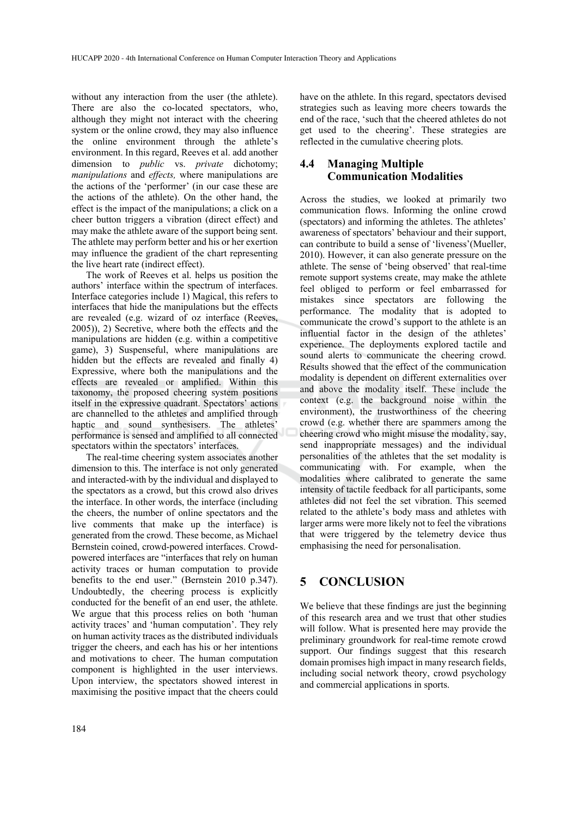without any interaction from the user (the athlete). There are also the co-located spectators, who, although they might not interact with the cheering system or the online crowd, they may also influence the online environment through the athlete's environment. In this regard, Reeves et al. add another dimension to *public* vs. *private* dichotomy; *manipulations* and *effects,* where manipulations are the actions of the 'performer' (in our case these are the actions of the athlete). On the other hand, the effect is the impact of the manipulations; a click on a cheer button triggers a vibration (direct effect) and may make the athlete aware of the support being sent. The athlete may perform better and his or her exertion may influence the gradient of the chart representing the live heart rate (indirect effect).

The work of Reeves et al. helps us position the authors' interface within the spectrum of interfaces. Interface categories include 1) Magical, this refers to interfaces that hide the manipulations but the effects are revealed (e.g. wizard of oz interface (Reeves, 2005)), 2) Secretive, where both the effects and the manipulations are hidden (e.g. within a competitive game), 3) Suspenseful, where manipulations are hidden but the effects are revealed and finally 4) Expressive, where both the manipulations and the effects are revealed or amplified. Within this taxonomy, the proposed cheering system positions itself in the expressive quadrant. Spectators' actions are channelled to the athletes and amplified through haptic and sound synthesisers. The athletes' performance is sensed and amplified to all connected spectators within the spectators' interfaces.

The real-time cheering system associates another dimension to this. The interface is not only generated and interacted-with by the individual and displayed to the spectators as a crowd, but this crowd also drives the interface. In other words, the interface (including the cheers, the number of online spectators and the live comments that make up the interface) is generated from the crowd. These become, as Michael Bernstein coined, crowd-powered interfaces. Crowdpowered interfaces are "interfaces that rely on human activity traces or human computation to provide benefits to the end user." (Bernstein 2010 p.347). Undoubtedly, the cheering process is explicitly conducted for the benefit of an end user, the athlete. We argue that this process relies on both 'human activity traces' and 'human computation'. They rely on human activity traces as the distributed individuals trigger the cheers, and each has his or her intentions and motivations to cheer. The human computation component is highlighted in the user interviews. Upon interview, the spectators showed interest in maximising the positive impact that the cheers could

have on the athlete. In this regard, spectators devised strategies such as leaving more cheers towards the end of the race, 'such that the cheered athletes do not get used to the cheering'. These strategies are reflected in the cumulative cheering plots.

### **4.4 Managing Multiple Communication Modalities**

Across the studies, we looked at primarily two communication flows. Informing the online crowd (spectators) and informing the athletes. The athletes' awareness of spectators' behaviour and their support, can contribute to build a sense of 'liveness'(Mueller, 2010). However, it can also generate pressure on the athlete. The sense of 'being observed' that real-time remote support systems create, may make the athlete feel obliged to perform or feel embarrassed for mistakes since spectators are following the performance. The modality that is adopted to communicate the crowd's support to the athlete is an influential factor in the design of the athletes' experience. The deployments explored tactile and sound alerts to communicate the cheering crowd. Results showed that the effect of the communication modality is dependent on different externalities over and above the modality itself. These include the context (e.g. the background noise within the environment), the trustworthiness of the cheering crowd (e.g. whether there are spammers among the cheering crowd who might misuse the modality, say, send inappropriate messages) and the individual personalities of the athletes that the set modality is communicating with. For example, when the modalities where calibrated to generate the same intensity of tactile feedback for all participants, some athletes did not feel the set vibration. This seemed related to the athlete's body mass and athletes with larger arms were more likely not to feel the vibrations that were triggered by the telemetry device thus emphasising the need for personalisation.

## **5 CONCLUSION**

We believe that these findings are just the beginning of this research area and we trust that other studies will follow. What is presented here may provide the preliminary groundwork for real-time remote crowd support. Our findings suggest that this research domain promises high impact in many research fields, including social network theory, crowd psychology and commercial applications in sports.